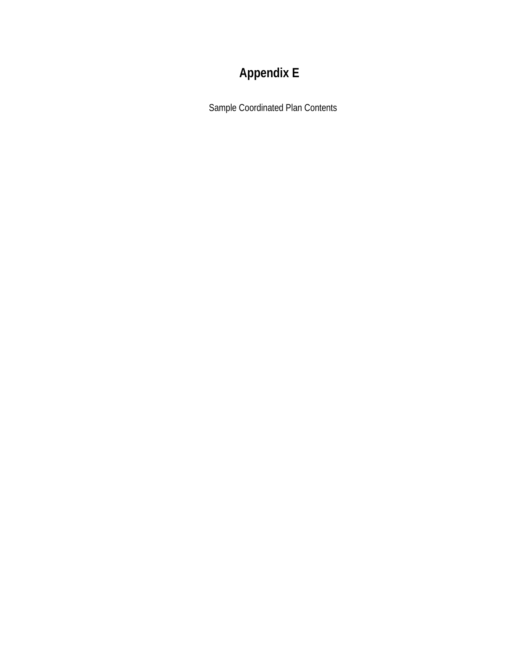# **Appendix E**

Sample Coordinated Plan Contents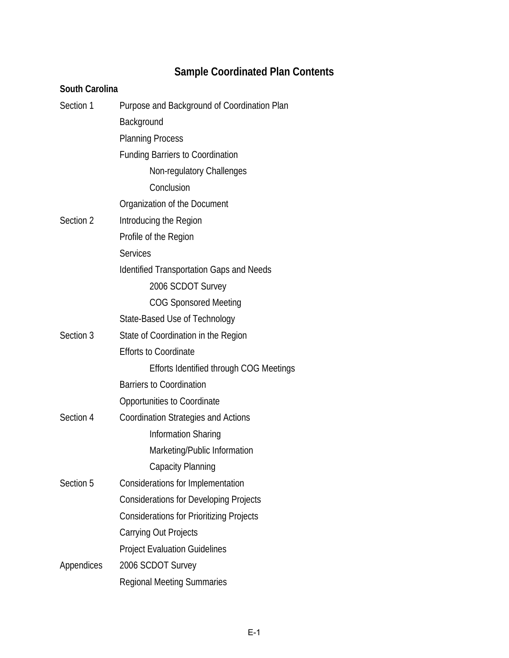# **Sample Coordinated Plan Contents**

# **South Carolina**

| Section 1  | Purpose and Background of Coordination Plan     |
|------------|-------------------------------------------------|
|            | Background                                      |
|            | <b>Planning Process</b>                         |
|            | <b>Funding Barriers to Coordination</b>         |
|            | Non-regulatory Challenges                       |
|            | Conclusion                                      |
|            | Organization of the Document                    |
| Section 2  | Introducing the Region                          |
|            | Profile of the Region                           |
|            | <b>Services</b>                                 |
|            | <b>Identified Transportation Gaps and Needs</b> |
|            | 2006 SCDOT Survey                               |
|            | <b>COG Sponsored Meeting</b>                    |
|            | State-Based Use of Technology                   |
| Section 3  | State of Coordination in the Region             |
|            | <b>Efforts to Coordinate</b>                    |
|            | Efforts Identified through COG Meetings         |
|            | <b>Barriers to Coordination</b>                 |
|            | Opportunities to Coordinate                     |
| Section 4  | <b>Coordination Strategies and Actions</b>      |
|            | Information Sharing                             |
|            | Marketing/Public Information                    |
|            | Capacity Planning                               |
| Section 5  | Considerations for Implementation               |
|            | <b>Considerations for Developing Projects</b>   |
|            | <b>Considerations for Prioritizing Projects</b> |
|            | <b>Carrying Out Projects</b>                    |
|            | <b>Project Evaluation Guidelines</b>            |
| Appendices | 2006 SCDOT Survey                               |
|            | <b>Regional Meeting Summaries</b>               |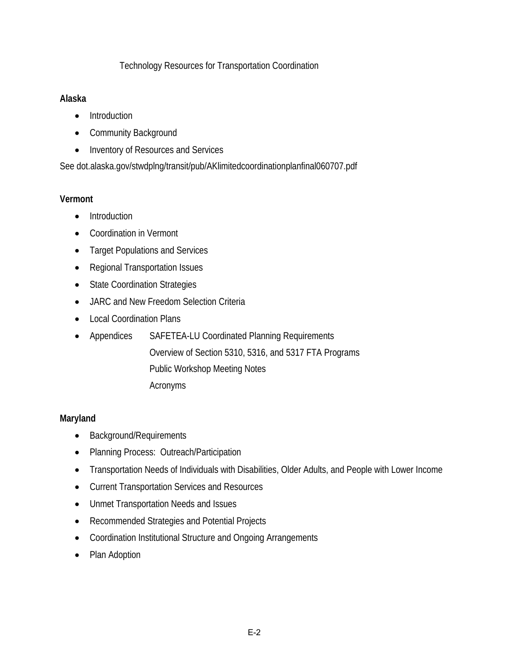# Technology Resources for Transportation Coordination

#### **Alaska**

- Introduction
- Community Background
- Inventory of Resources and Services

See dot.alaska.gov/stwdplng/transit/pub/AKlimitedcoordinationplanfinal060707.pdf

### **Vermont**

- Introduction
- Coordination in Vermont
- Target Populations and Services
- Regional Transportation Issues
- State Coordination Strategies
- JARC and New Freedom Selection Criteria
- Local Coordination Plans
- Appendices SAFETEA-LU Coordinated Planning Requirements
	- Overview of Section 5310, 5316, and 5317 FTA Programs
		- Public Workshop Meeting Notes
		- Acronyms

# **Maryland**

- Background/Requirements
- Planning Process: Outreach/Participation
- Transportation Needs of Individuals with Disabilities, Older Adults, and People with Lower Income
- Current Transportation Services and Resources
- Unmet Transportation Needs and Issues
- Recommended Strategies and Potential Projects
- Coordination Institutional Structure and Ongoing Arrangements
- Plan Adoption